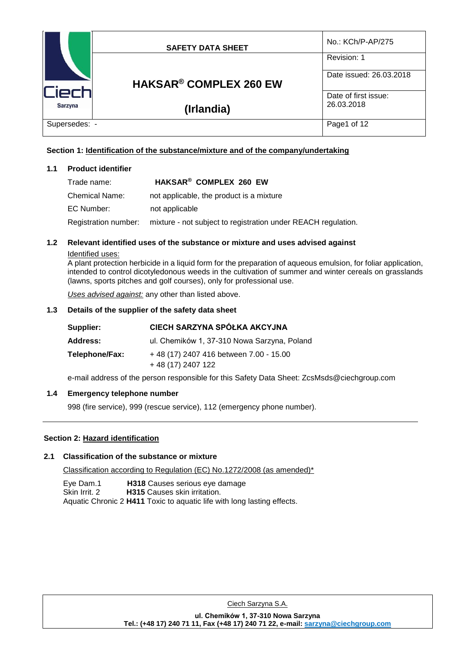|                | <b>SAFETY DATA SHEET</b>                 | No.: KCh/P-AP/275                  |
|----------------|------------------------------------------|------------------------------------|
|                |                                          | Revision: 1                        |
| lCiech         | <b>HAKSAR<sup>®</sup> COMPLEX 260 EW</b> | Date issued: 26.03.2018            |
|                |                                          | Date of first issue:<br>26.03.2018 |
| <b>Sarzyna</b> | (Irlandia)                               |                                    |
| Supersedes: -  |                                          | Page1 of 12                        |

# **Section 1: Identification of the substance/mixture and of the company/undertaking**

## **1.1 Product identifier**

| Trade name:    | HAKSAR® COMPLEX 260 EW                                                             |
|----------------|------------------------------------------------------------------------------------|
| Chemical Name: | not applicable, the product is a mixture                                           |
| EC Number:     | not applicable                                                                     |
|                | Registration number: mixture - not subject to registration under REACH regulation. |

# **1.2 Relevant identified uses of the substance or mixture and uses advised against**

## Identified uses:

A plant protection herbicide in a liquid form for the preparation of aqueous emulsion, for foliar application, intended to control dicotyledonous weeds in the cultivation of summer and winter cereals on grasslands (lawns, sports pitches and golf courses), only for professional use.

*Uses advised against:* any other than listed above.

# **1.3 Details of the supplier of the safety data sheet**

| Supplier:       | CIECH SARZYNA SPÓŁKA AKCYJNA                                |
|-----------------|-------------------------------------------------------------|
| <b>Address:</b> | ul. Chemików 1, 37-310 Nowa Sarzyna, Poland                 |
| Telephone/Fax:  | +48 (17) 2407 416 between 7.00 - 15.00<br>+48 (17) 2407 122 |

e-mail address of the person responsible for this Safety Data Sheet: ZcsMsds@ciechgroup.com

# **1.4 Emergency telephone number**

998 (fire service), 999 (rescue service), 112 (emergency phone number).

# **Section 2: Hazard identification**

# **2.1 Classification of the substance or mixture**

Classification according to Regulation (EC) No.1272/2008 (as amended)\*

Eye Dam.1 **H318** Causes serious eye damage H315 Causes skin irritation. Aquatic Chronic 2 **H411** Toxic to aquatic life with long lasting effects.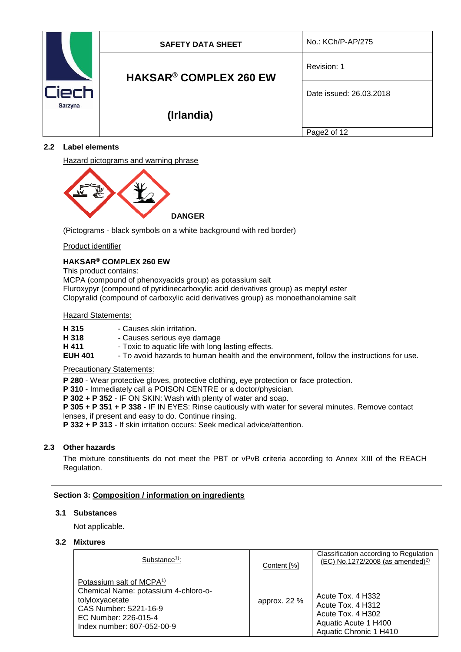| `ierh<br>Sarzyna | <b>SAFETY DATA SHEET</b>                 | No.: KCh/P-AP/275       |
|------------------|------------------------------------------|-------------------------|
|                  | <b>HAKSAR<sup>®</sup> COMPLEX 260 EW</b> | Revision: 1             |
|                  |                                          | Date issued: 26.03.2018 |
|                  | (Irlandia)                               |                         |
|                  |                                          | Page2 of 12             |

# **2.2 Label elements**

Hazard pictograms and warning phrase



(Pictograms - black symbols on a white background with red border)

## Product identifier

# **HAKSAR® COMPLEX 260 EW**

This product contains:

MCPA (compound of phenoxyacids group) as potassium salt Fluroxypyr (compound of pyridinecarboxylic acid derivatives group) as meptyl ester Clopyralid (compound of carboxylic acid derivatives group) as monoethanolamine salt

## Hazard Statements:

| H 315 | - Causes skin irritation. |
|-------|---------------------------|
|-------|---------------------------|

- 
- **H 318** Causes serious eye damage<br>**H 411** Toxic to aquatic life with long **H 411** - Toxic to aquatic life with long lasting effects.<br>**EUH 401** - To avoid hazards to human health and the e
- To avoid hazards to human health and the environment, follow the instructions for use.

### Precautionary Statements:

- **P 280** Wear protective gloves, protective clothing, eye protection or face protection.
- **P 310** Immediately call a POISON CENTRE or a doctor/physician.
- **P 302 + P 352**  IF ON SKIN: Wash with plenty of water and soap.

**P 305 + P 351 + P 338** - IF IN EYES: Rinse cautiously with water for several minutes. Remove contact lenses, if present and easy to do. Continue rinsing.

**P 332 + P 313** - If skin irritation occurs: Seek medical advice/attention.

# **2.3 Other hazards**

The mixture constituents do not meet the PBT or vPvB criteria according to Annex XIII of the REACH Regulation.

# **Section 3: Composition / information on ingredients**

## **3.1 Substances**

Not applicable.

# **3.2 Mixtures**

| Substance <sup>1)</sup> :                                                                                                                                                      | Content [%]  | <b>Classification according to Regulation</b><br>(EC) No.1272/2008 (as amended) <sup>2)</sup>                 |
|--------------------------------------------------------------------------------------------------------------------------------------------------------------------------------|--------------|---------------------------------------------------------------------------------------------------------------|
| Potassium salt of MCPA <sup>1)</sup><br>Chemical Name: potassium 4-chloro-o-<br>tolyloxyacetate<br>CAS Number: 5221-16-9<br>EC Number: 226-015-4<br>Index number: 607-052-00-9 | approx. 22 % | Acute Tox. 4 H332<br>Acute Tox, 4 H312<br>Acute Tox. 4 H302<br>Aquatic Acute 1 H400<br>Aquatic Chronic 1 H410 |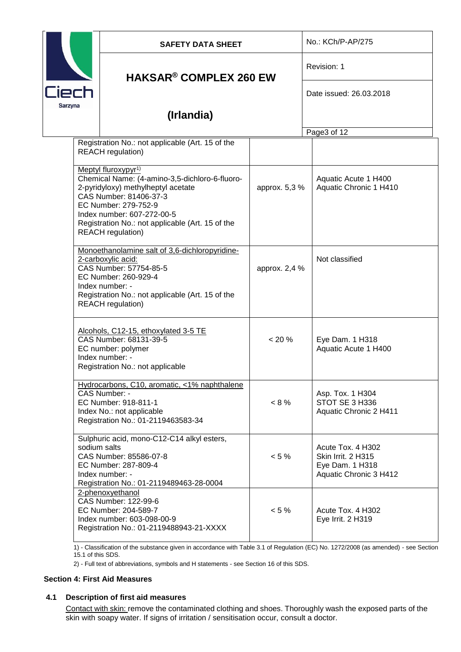|                  | <b>SAFETY DATA SHEET</b>                                                                                                                                                                                                                                                                |               | No.: KCh/P-AP/275                                                                           |  |
|------------------|-----------------------------------------------------------------------------------------------------------------------------------------------------------------------------------------------------------------------------------------------------------------------------------------|---------------|---------------------------------------------------------------------------------------------|--|
|                  | <b>HAKSAR® COMPLEX 260 EW</b>                                                                                                                                                                                                                                                           |               | Revision: 1                                                                                 |  |
| Ciech<br>Sarzyna |                                                                                                                                                                                                                                                                                         |               | Date issued: 26.03.2018                                                                     |  |
|                  | (Irlandia)                                                                                                                                                                                                                                                                              |               |                                                                                             |  |
|                  |                                                                                                                                                                                                                                                                                         |               | Page3 of 12                                                                                 |  |
|                  | Registration No.: not applicable (Art. 15 of the<br><b>REACH</b> regulation)                                                                                                                                                                                                            |               |                                                                                             |  |
|                  | Meptyl fluroxypyr <sup>1)</sup><br>Chemical Name: (4-amino-3,5-dichloro-6-fluoro-<br>2-pyridyloxy) methylheptyl acetate<br>CAS Number: 81406-37-3<br>EC Number: 279-752-9<br>Index number: 607-272-00-5<br>Registration No.: not applicable (Art. 15 of the<br><b>REACH</b> regulation) | approx. 5,3 % | Aquatic Acute 1 H400<br>Aquatic Chronic 1 H410                                              |  |
|                  | Monoethanolamine salt of 3,6-dichloropyridine-<br>2-carboxylic acid:<br>CAS Number: 57754-85-5<br>EC Number: 260-929-4<br>Index number: -<br>Registration No.: not applicable (Art. 15 of the<br><b>REACH</b> regulation)                                                               | approx. 2,4 % | Not classified                                                                              |  |
|                  | Alcohols, C12-15, ethoxylated 3-5 TE<br>CAS Number: 68131-39-5<br>EC number: polymer<br>Index number: -<br>Registration No.: not applicable                                                                                                                                             | $< 20 \%$     | Eye Dam. 1 H318<br>Aquatic Acute 1 H400                                                     |  |
|                  | Hydrocarbons, C10, aromatic, <1% naphthalene<br>CAS Number: -<br>EC Number: 918-811-1<br>Index No.: not applicable<br>Registration No.: 01-2119463583-34                                                                                                                                | $< 8 \%$      | Asp. Tox. 1 H304<br>STOT SE 3 H336<br>Aquatic Chronic 2 H411                                |  |
| sodium salts     | Sulphuric acid, mono-C12-C14 alkyl esters,<br>CAS Number: 85586-07-8<br>EC Number: 287-809-4<br>Index number: -<br>Registration No.: 01-2119489463-28-0004                                                                                                                              | $< 5 \%$      | Acute Tox, 4 H302<br><b>Skin Irrit. 2 H315</b><br>Eye Dam. 1 H318<br>Aquatic Chronic 3 H412 |  |
|                  | 2-phenoxyethanol<br>CAS Number: 122-99-6<br>EC Number: 204-589-7<br>Index number: 603-098-00-9<br>Registration No.: 01-2119488943-21-XXXX                                                                                                                                               | $< 5 \%$      | Acute Tox, 4 H302<br>Eye Irrit. 2 H319                                                      |  |

1) - Classification of the substance given in accordance with Table 3.1 of Regulation (EC) No. 1272/2008 (as amended) - see Section 15.1 of this SDS.

2) - Full text of abbreviations, symbols and H statements - see Section 16 of this SDS.

# **Section 4: First Aid Measures**

# **4.1 Description of first aid measures**

Contact with skin: remove the contaminated clothing and shoes. Thoroughly wash the exposed parts of the skin with soapy water. If signs of irritation / sensitisation occur, consult a doctor.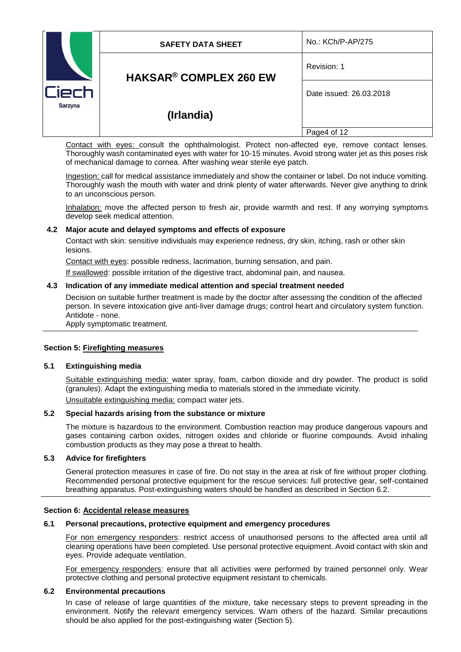| Ciech<br>Sarzyna | <b>SAFETY DATA SHEET</b>                 | No.: KCh/P-AP/275       |
|------------------|------------------------------------------|-------------------------|
|                  | <b>HAKSAR<sup>®</sup> COMPLEX 260 EW</b> | Revision: 1             |
|                  |                                          | Date issued: 26.03.2018 |
|                  | (Irlandia)                               |                         |
|                  |                                          | Page4 of 12             |

Contact with eyes: consult the ophthalmologist. Protect non-affected eye, remove contact lenses. Thoroughly wash contaminated eyes with water for 10-15 minutes. Avoid strong water jet as this poses risk of mechanical damage to cornea. After washing wear sterile eye patch.

Ingestion: call for medical assistance immediately and show the container or label. Do not induce vomiting. Thoroughly wash the mouth with water and drink plenty of water afterwards. Never give anything to drink to an unconscious person.

Inhalation: move the affected person to fresh air, provide warmth and rest. If any worrying symptoms develop seek medical attention.

## **4.2 Major acute and delayed symptoms and effects of exposure**

Contact with skin: sensitive individuals may experience redness, dry skin, itching, rash or other skin lesions.

Contact with eyes: possible redness, lacrimation, burning sensation, and pain.

If swallowed: possible irritation of the digestive tract, abdominal pain, and nausea.

### **4.3 Indication of any immediate medical attention and special treatment needed**

Decision on suitable further treatment is made by the doctor after assessing the condition of the affected person. In severe intoxication give anti-liver damage drugs; control heart and circulatory system function. Antidote - none.

Apply symptomatic treatment.

#### **Section 5: Firefighting measures**

#### **5.1 Extinguishing media**

Suitable extinguishing media: water spray, foam, carbon dioxide and dry powder. The product is solid (granules). Adapt the extinguishing media to materials stored in the immediate vicinity. Unsuitable extinguishing media: compact water jets.

## **5.2 Special hazards arising from the substance or mixture**

The mixture is hazardous to the environment. Combustion reaction may produce dangerous vapours and gases containing carbon oxides, nitrogen oxides and chloride or fluorine compounds. Avoid inhaling combustion products as they may pose a threat to health.

### **5.3 Advice for firefighters**

General protection measures in case of fire. Do not stay in the area at risk of fire without proper clothing. Recommended personal protective equipment for the rescue services: full protective gear, self-contained breathing apparatus. Post-extinguishing waters should be handled as described in Section 6.2.

#### **Section 6: Accidental release measures**

#### **6.1 Personal precautions, protective equipment and emergency procedures**

For non emergency responders: restrict access of unauthorised persons to the affected area until all cleaning operations have been completed. Use personal protective equipment. Avoid contact with skin and eyes. Provide adequate ventilation.

For emergency responders: ensure that all activities were performed by trained personnel only. Wear protective clothing and personal protective equipment resistant to chemicals.

#### **6.2 Environmental precautions**

In case of release of large quantities of the mixture, take necessary steps to prevent spreading in the environment. Notify the relevant emergency services. Warn others of the hazard. Similar precautions should be also applied for the post-extinguishing water (Section 5).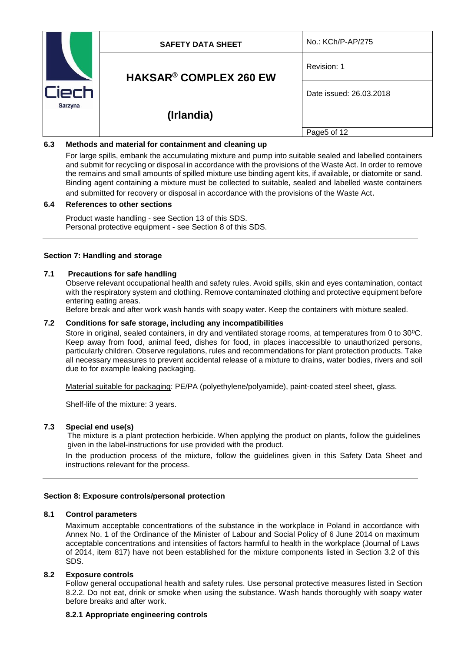| ïech<br>Sarzyna | <b>SAFETY DATA SHEET</b>                 | No.: KCh/P-AP/275       |
|-----------------|------------------------------------------|-------------------------|
|                 | <b>HAKSAR<sup>®</sup> COMPLEX 260 EW</b> | Revision: 1             |
|                 |                                          | Date issued: 26.03.2018 |
|                 | (Irlandia)                               |                         |
|                 |                                          | Page5 of 12             |

# **6.3 Methods and material for containment and cleaning up**

For large spills, embank the accumulating mixture and pump into suitable sealed and labelled containers and submit for recycling or disposal in accordance with the provisions of the Waste Act. In order to remove the remains and small amounts of spilled mixture use binding agent kits, if available, or diatomite or sand. Binding agent containing a mixture must be collected to suitable, sealed and labelled waste containers and submitted for recovery or disposal in accordance with the provisions of the Waste Act.

## **6.4 References to other sections**

Product waste handling - see Section 13 of this SDS. Personal protective equipment - see Section 8 of this SDS.

## **Section 7: Handling and storage**

## **7.1 Precautions for safe handling**

Observe relevant occupational health and safety rules. Avoid spills, skin and eyes contamination, contact with the respiratory system and clothing. Remove contaminated clothing and protective equipment before entering eating areas.

Before break and after work wash hands with soapy water. Keep the containers with mixture sealed.

## **7.2 Conditions for safe storage, including any incompatibilities**

Store in original, sealed containers, in dry and ventilated storage rooms, at temperatures from 0 to 30<sup>o</sup>C. Keep away from food, animal feed, dishes for food, in places inaccessible to unauthorized persons, particularly children. Observe regulations, rules and recommendations for plant protection products. Take all necessary measures to prevent accidental release of a mixture to drains, water bodies, rivers and soil due to for example leaking packaging.

Material suitable for packaging: PE/PA (polyethylene/polyamide), paint-coated steel sheet, glass.

Shelf-life of the mixture: 3 years.

### **7.3 Special end use(s)**

The mixture is a plant protection herbicide. When applying the product on plants, follow the guidelines given in the label-instructions for use provided with the product.

In the production process of the mixture, follow the guidelines given in this Safety Data Sheet and instructions relevant for the process.

### **Section 8: Exposure controls/personal protection**

## **8.1 Control parameters**

Maximum acceptable concentrations of the substance in the workplace in Poland in accordance with Annex No. 1 of the Ordinance of the Minister of Labour and Social Policy of 6 June 2014 on maximum acceptable concentrations and intensities of factors harmful to health in the workplace (Journal of Laws of 2014, item 817) have not been established for the mixture components listed in Section 3.2 of this SDS.

### **8.2 Exposure controls**

Follow general occupational health and safety rules. Use personal protective measures listed in Section 8.2.2. Do not eat, drink or smoke when using the substance. Wash hands thoroughly with soapy water before breaks and after work.

### **8.2.1 Appropriate engineering controls**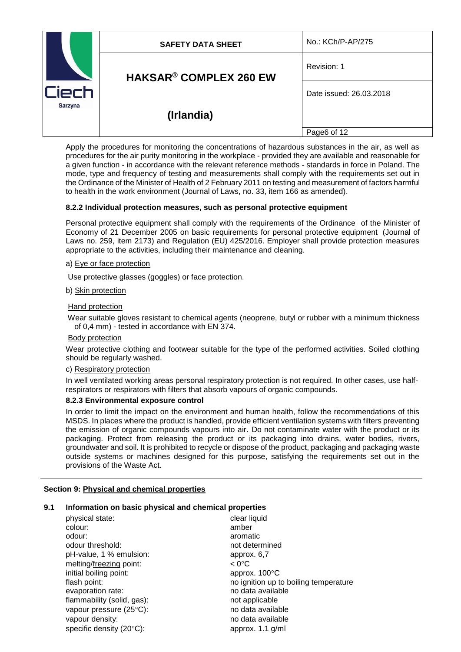| ïech<br>Sarzyna | <b>SAFETY DATA SHEET</b>      | No.: KCh/P-AP/275       |
|-----------------|-------------------------------|-------------------------|
|                 | <b>HAKSAR® COMPLEX 260 EW</b> | Revision: 1             |
|                 |                               | Date issued: 26.03.2018 |
|                 | (Irlandia)                    |                         |
|                 |                               | Page6 of 12             |

Apply the procedures for monitoring the concentrations of hazardous substances in the air, as well as procedures for the air purity monitoring in the workplace - provided they are available and reasonable for a given function - in accordance with the relevant reference methods - standards in force in Poland. The mode, type and frequency of testing and measurements shall comply with the requirements set out in the Ordinance of the Minister of Health of 2 February 2011 on testing and measurement of factors harmful to health in the work environment (Journal of Laws, no. 33, item 166 as amended).

## **8.2.2 Individual protection measures, such as personal protective equipment**

Personal protective equipment shall comply with the requirements of the Ordinance of the Minister of Economy of 21 December 2005 on basic requirements for personal protective equipment (Journal of Laws no. 259, item 2173) and Regulation (EU) 425/2016. Employer shall provide protection measures appropriate to the activities, including their maintenance and cleaning.

### a) Eye or face protection

Use protective glasses (goggles) or face protection.

## b) Skin protection

## Hand protection

Wear suitable gloves resistant to chemical agents (neoprene, butyl or rubber with a minimum thickness of 0,4 mm) - tested in accordance with EN 374.

### Body protection

Wear protective clothing and footwear suitable for the type of the performed activities. Soiled clothing should be regularly washed.

## c) Respiratory protection

In well ventilated working areas personal respiratory protection is not required. In other cases, use halfrespirators or respirators with filters that absorb vapours of organic compounds.

### **8.2.3 Environmental exposure control**

In order to limit the impact on the environment and human health, follow the recommendations of this MSDS. In places where the product is handled, provide efficient ventilation systems with filters preventing the emission of organic compounds vapours into air. Do not contaminate water with the product or its packaging. Protect from releasing the product or its packaging into drains, water bodies, rivers, groundwater and soil. It is prohibited to recycle or dispose of the product, packaging and packaging waste outside systems or machines designed for this purpose, satisfying the requirements set out in the provisions of the Waste Act.

# **Section 9: Physical and chemical properties**

### **9.1 Information on basic physical and chemical properties**

| physical state:            | clear liquid                          |
|----------------------------|---------------------------------------|
| colour:                    | amber                                 |
| odour:                     | aromatic                              |
| odour threshold:           | not determined                        |
| pH-value, 1 % emulsion:    | approx. 6,7                           |
| melting/freezing point:    | $< 0^{\circ}$ C                       |
| initial boiling point:     | approx. 100°C                         |
| flash point:               | no ignition up to boiling temperature |
| evaporation rate:          | no data available                     |
| flammability (solid, gas): | not applicable                        |
| vapour pressure (25°C):    | no data available                     |
| vapour density:            | no data available                     |
| specific density (20°C):   | approx. 1.1 g/ml                      |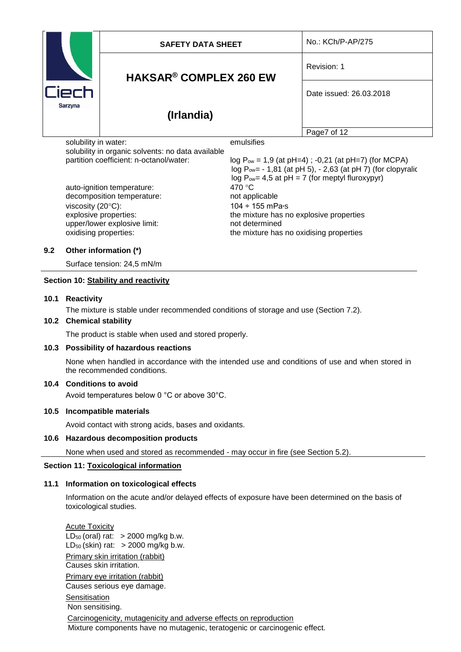| Ciech<br>Sarzyna                                                          | <b>SAFETY DATA SHEET</b> |                                          | No.: KCh/P-AP/275                                        |
|---------------------------------------------------------------------------|--------------------------|------------------------------------------|----------------------------------------------------------|
|                                                                           |                          | <b>HAKSAR<sup>®</sup> COMPLEX 260 EW</b> | Revision: 1                                              |
|                                                                           |                          |                                          |                                                          |
|                                                                           | (Irlandia)               |                                          |                                                          |
|                                                                           |                          |                                          | Page7 of 12                                              |
| solubility in water:<br>solubility in organic solvents: no data available |                          | emulsifies                               |                                                          |
| partition coefficient: n-octanol/water:                                   |                          |                                          | $log P_{ow} = 1.9$ (at pH=4); -0,21 (at pH=7) (for MCPA) |

auto-ignition temperature: 470 °C decomposition temperature: not applicable viscosity  $(20^{\circ}C)$ : 104 ÷ 155 mPa $\circ$ s upper/lower explosive limit: not determined

 $log P_{ow} = -1,81$  (at pH 5),  $-2,63$  (at pH 7) (for clopyralic log  $P_{ow}$  = 4,5 at pH = 7 (for meptyl fluroxypyr) explosive properties: the mixture has no explosive properties oxidising properties: the mixture has no oxidising properties

# **9.2 Other information (\*)**

Surface tension: 24,5 mN/m

## **Section 10: Stability and reactivity**

## **10.1 Reactivity**

The mixture is stable under recommended conditions of storage and use (Section 7.2).

### **10.2 Chemical stability**

The product is stable when used and stored properly.

### **10.3 Possibility of hazardous reactions**

None when handled in accordance with the intended use and conditions of use and when stored in the recommended conditions.

# **10.4 Conditions to avoid**

Avoid temperatures below 0 °C or above 30°C.

### **10.5 Incompatible materials**

Avoid contact with strong acids, bases and oxidants.

### **10.6 Hazardous decomposition products**

None when used and stored as recommended - may occur in fire (see Section 5.2).

### **Section 11: Toxicological information**

### **11.1 Information on toxicological effects**

Information on the acute and/or delayed effects of exposure have been determined on the basis of toxicological studies.

Acute Toxicity  $LD_{50}$  (oral) rat:  $>$  2000 mg/kg b.w.  $LD_{50}$  (skin) rat:  $>$  2000 mg/kg b.w. Primary skin irritation (rabbit) Causes skin irritation. Primary eye irritation (rabbit) Causes serious eye damage. **Sensitisation** 

Non sensitising.

Carcinogenicity, mutagenicity and adverse effects on reproduction Mixture components have no mutagenic, teratogenic or carcinogenic effect.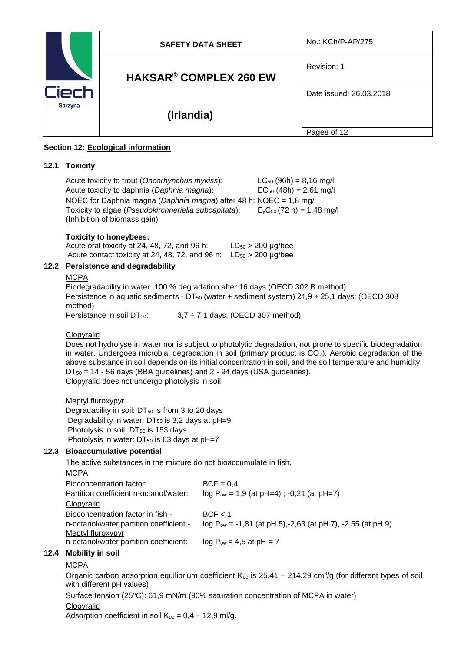| <b>iech</b><br>Sarzyna | <b>SAFETY DATA SHEET</b>      | No.: KCh/P-AP/275       |
|------------------------|-------------------------------|-------------------------|
|                        | <b>HAKSAR® COMPLEX 260 EW</b> | Revision: 1             |
|                        |                               | Date issued: 26.03.2018 |
|                        | (Irlandia)                    |                         |
|                        |                               | Page8 of 12             |

# **Section 12: Ecological information**

# **12.1 Toxicity**

Acute toxicity to trout (*Oncorhynchus mykiss*): LC<sup>50</sup> (96h) = 8,16 mg/l Acute toxicity to daphnia (*Daphnia magna*): EC<sub>50</sub> (48h) = 2,61 mg/l NOEC for Daphnia magna (*Daphnia magna*) after 48 h: NOEC = 1,8 mg/l Toxicity to algae (*Pseudokirchneriella subcapitata*):  $E_yC_{50}$  (72 h) = 1,48 mg/l (Inhibition of biomass gain)

# **Toxicity to honeybees:**

| Acute oral toxicity at 24, 48, 72, and 96 h:    | $LD_{50} > 200 \mu g/bee$ |
|-------------------------------------------------|---------------------------|
| Acute contact toxicity at 24, 48, 72, and 96 h: | $LD_{50} > 200 \mu g/bee$ |

# **12.2 Persistence and degradability**

### **MCPA**

Biodegradability in water: 100 % degradation after 16 days (OECD 302 B method) Persistence in aquatic sediments -  $DT_{50}$  (water + sediment system) 21,9 ÷ 25,1 days; (OECD 308 method) Persistance in soil DT $_{50}$ :  $3.7 \div 7.1$  days; (OECD 307 method)

# Clopyralid

Does not hydrolyse in water nor is subject to photolytic degradation, not prone to specific biodegradation in water. Undergoes microbial degradation in soil (primary product is CO<sub>2</sub>). Aerobic degradation of the above substance in soil depends on its initial concentration in soil, and the soil temperature and humidity:  $DT_{50}$  = 14 - 56 days (BBA guidelines) and 2 - 94 days (USA guidelines). Clopyralid does not undergo photolysis in soil.

Meptyl fluroxypyr

Degradability in soil:  $DT_{50}$  is from 3 to 20 days Degradability in water:  $DT_{50}$  is 3,2 days at pH=9 Photolysis in soil:  $DT_{50}$  is 153 days Photolysis in water:  $DT_{50}$  is 63 days at pH=7

# **12.3 Bioaccumulative potential**

The active substances in the mixture do not bioaccumulate in fish.

**MCPA** Bioconcentration factor: BCF = 0,4 Partition coefficient n-octanol/water:  $log P_{ow} = 1.9$  (at pH=4) ; -0,21 (at pH=7) Clopyralid Bioconcentration factor in fish - BCF < 1 n-octanol/water partition coefficient -  $log P_{ow} = -1.81$  (at pH 5),-2,63 (at pH 7), -2,55 (at pH 9) Meptyl fluroxypyr n-octanol/water partition coefficient: log  $P_{ow} = 4.5$  at pH = 7

# **12.4 Mobility in soil**

# **MCPA**

Organic carbon adsorption equilibrium coefficient  $K_{oc}$  is 25,41 – 214,29 cm<sup>3</sup>/g (for different types of soil with different pH values)

Surface tension (25 $\degree$ C): 61,9 mN/m (90% saturation concentration of MCPA in water)

# Clopyralid

Adsorption coefficient in soil  $K_{oc} = 0.4 - 12.9$  ml/g.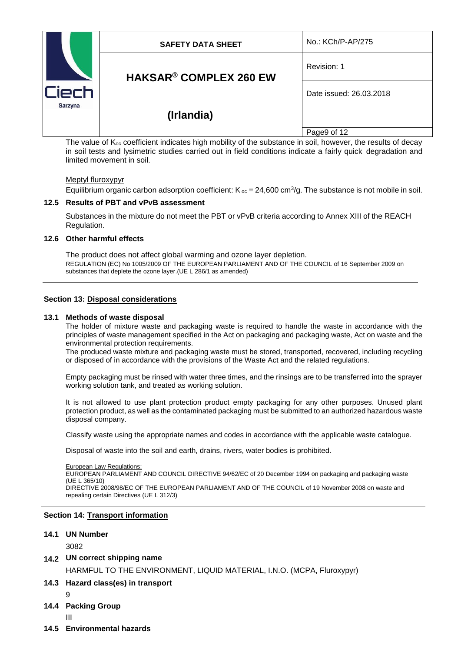|         | <b>SAFETY DATA SHEET</b>                                                                                              | No.: KCh/P-AP/275       |
|---------|-----------------------------------------------------------------------------------------------------------------------|-------------------------|
|         | <b>HAKSAR<sup>®</sup> COMPLEX 260 EW</b>                                                                              | Revision: 1             |
| Ciech   |                                                                                                                       | Date issued: 26.03.2018 |
| Sarzyna | (Irlandia)                                                                                                            |                         |
|         |                                                                                                                       | Page9 of 12             |
|         | The value of $K_{\infty}$ coefficient indicates high mobility of the substance in soil, however, the results of decay |                         |

Fincient indicates high mobility of the substance in soil, however, the result in soil tests and lysimetric studies carried out in field conditions indicate a fairly quick degradation and limited movement in soil.

### Meptyl fluroxypyr

Equilibrium organic carbon adsorption coefficient:  $K_{\infty} = 24,600 \text{ cm}^3/\text{g}$ . The substance is not mobile in soil.

## **12.5 Results of PBT and vPvB assessment**

Substances in the mixture do not meet the PBT or vPvB criteria according to Annex XIII of the REACH Regulation.

## **12.6 Other harmful effects**

The product does not affect global warming and ozone layer depletion. REGULATION (EC) No 1005/2009 OF THE EUROPEAN PARLIAMENT AND OF THE COUNCIL of 16 September 2009 on substances that deplete the ozone layer.(UE L 286/1 as amended)

### **Section 13: Disposal considerations**

### **13.1 Methods of waste disposal**

The holder of mixture waste and packaging waste is required to handle the waste in accordance with the principles of waste management specified in the Act on packaging and packaging waste, Act on waste and the environmental protection requirements.

The produced waste mixture and packaging waste must be stored, transported, recovered, including recycling or disposed of in accordance with the provisions of the Waste Act and the related regulations.

Empty packaging must be rinsed with water three times, and the rinsings are to be transferred into the sprayer working solution tank, and treated as working solution.

It is not allowed to use plant protection product empty packaging for any other purposes. Unused plant protection product, as well as the contaminated packaging must be submitted to an authorized hazardous waste disposal company.

Classify waste using the appropriate names and codes in accordance with the applicable waste catalogue.

Disposal of waste into the soil and earth, drains, rivers, water bodies is prohibited.

#### **European Law Regulations:**

EUROPEAN PARLIAMENT AND COUNCIL DIRECTIVE 94/62/EC of 20 December 1994 on packaging and packaging waste  $(11F1.365/10)$ 

DIRECTIVE 2008/98/EC OF THE EUROPEAN PARLIAMENT AND OF THE COUNCIL of 19 November 2008 on waste and repealing certain Directives (UE L 312/3)

## **Section 14: Transport information**

### **14.1 UN Number**

### 3082

# **14.2 UN correct shipping name**

HARMFUL TO THE ENVIRONMENT, LIQUID MATERIAL, I.N.O. (MCPA, Fluroxypyr)

# **14.3 Hazard class(es) in transport**

- 9
- **14.4 Packing Group**
	- III
- **14.5 Environmental hazards**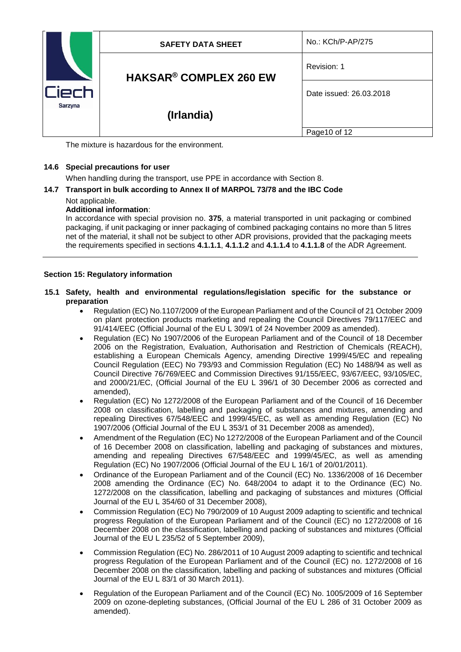| ierh<br>Sarzyna | <b>SAFETY DATA SHEET</b>                 | No.: KCh/P-AP/275       |
|-----------------|------------------------------------------|-------------------------|
|                 | <b>HAKSAR<sup>®</sup> COMPLEX 260 EW</b> | Revision: 1             |
|                 |                                          | Date issued: 26.03.2018 |
|                 | (Irlandia)                               |                         |
|                 |                                          | Page 10 of 12           |

The mixture is hazardous for the environment.

# **14.6 Special precautions for user**

When handling during the transport, use PPE in accordance with Section 8.

# **14.7 Transport in bulk according to Annex II of MARPOL 73/78 and the IBC Code**

# Not applicable.

# **Additional information**:

In accordance with special provision no. **375**, a material transported in unit packaging or combined packaging, if unit packaging or inner packaging of combined packaging contains no more than 5 litres net of the material, it shall not be subject to other ADR provisions, provided that the packaging meets the requirements specified in sections **4.1.1.1**, **4.1.1.2** and **4.1.1.4** to **4.1.1.8** of the ADR Agreement.

# **Section 15: Regulatory information**

# **15.1 Safety, health and environmental regulations/legislation specific for the substance or preparation**

- Regulation (EC) No.1107/2009 of the European Parliament and of the Council of 21 October 2009 on plant protection products marketing and repealing the Council Directives 79/117/EEC and 91/414/EEC (Official Journal of the EU L 309/1 of 24 November 2009 as amended).
- Regulation (EC) No 1907/2006 of the European Parliament and of the Council of 18 December 2006 on the Registration, Evaluation, Authorisation and Restriction of Chemicals (REACH), establishing a European Chemicals Agency, amending Directive 1999/45/EC and repealing Council Regulation (EEC) No 793/93 and Commission Regulation (EC) No 1488/94 as well as Council Directive 76/769/EEC and Commission Directives 91/155/EEC, 93/67/EEC, 93/105/EC, and 2000/21/EC, (Official Journal of the EU L 396/1 of 30 December 2006 as corrected and amended),
- Regulation (EC) No 1272/2008 of the European Parliament and of the Council of 16 December 2008 on classification, labelling and packaging of substances and mixtures, amending and repealing Directives 67/548/EEC and 1999/45/EC, as well as amending Regulation (EC) No 1907/2006 (Official Journal of the EU L 353/1 of 31 December 2008 as amended),
- Amendment of the Regulation (EC) No 1272/2008 of the European Parliament and of the Council of 16 December 2008 on classification, labelling and packaging of substances and mixtures, amending and repealing Directives 67/548/EEC and 1999/45/EC, as well as amending Regulation (EC) No 1907/2006 (Official Journal of the EU L 16/1 of 20/01/2011).
- Ordinance of the European Parliament and of the Council (EC) No. 1336/2008 of 16 December 2008 amending the Ordinance (EC) No. 648/2004 to adapt it to the Ordinance (EC) No. 1272/2008 on the classification, labelling and packaging of substances and mixtures (Official Journal of the EU L 354/60 of 31 December 2008),
- Commission Regulation (EC) No 790/2009 of 10 August 2009 adapting to scientific and technical progress Regulation of the European Parliament and of the Council (EC) no 1272/2008 of 16 December 2008 on the classification, labelling and packing of substances and mixtures (Official Journal of the EU L 235/52 of 5 September 2009),
- Commission Regulation (EC) No. 286/2011 of 10 August 2009 adapting to scientific and technical progress Regulation of the European Parliament and of the Council (EC) no. 1272/2008 of 16 December 2008 on the classification, labelling and packing of substances and mixtures (Official Journal of the EU L 83/1 of 30 March 2011).
- Regulation of the European Parliament and of the Council (EC) No. 1005/2009 of 16 September 2009 on ozone-depleting substances, (Official Journal of the EU L 286 of 31 October 2009 as amended).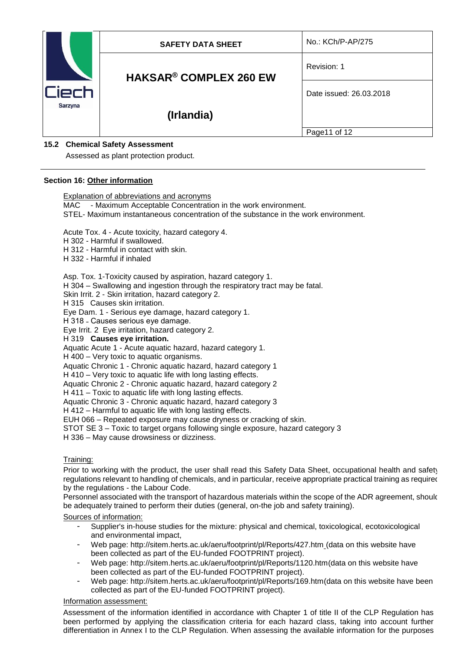|         | <b>SAFETY DATA SHEET</b>                 | No.: KCh/P-AP/275       |
|---------|------------------------------------------|-------------------------|
|         | <b>HAKSAR<sup>®</sup> COMPLEX 260 EW</b> | Revision: 1             |
|         |                                          | Date issued: 26.03.2018 |
| Sarzyna | (Irlandia)                               |                         |
|         |                                          | Page11 of 12            |

# **15.2 Chemical Safety Assessment**

Assessed as plant protection product.

## **Section 16: Other information**

Explanation of abbreviations and acronyms

MAC - Maximum Acceptable Concentration in the work environment.

STEL- Maximum instantaneous concentration of the substance in the work environment.

Acute Tox. 4 - Acute toxicity, hazard category 4.

H 302 - Harmful if swallowed.

H 312 - Harmful in contact with skin.

H 332 - Harmful if inhaled

Asp. Tox. 1-Toxicity caused by aspiration, hazard category 1.

H 304 – Swallowing and ingestion through the respiratory tract may be fatal.

Skin Irrit. 2 - Skin irritation, hazard category 2.

H 315 Causes skin irritation.

Eye Dam. 1 - Serious eye damage, hazard category 1.

H 318 - Causes serious eye damage.

Eye Irrit. 2 Eye irritation, hazard category 2.

H 319 **Causes eye irritation.**

Aquatic Acute 1 - Acute aquatic hazard, hazard category 1.

H 400 – Very toxic to aquatic organisms.

Aquatic Chronic 1 - Chronic aquatic hazard, hazard category 1

H 410 – Very toxic to aquatic life with long lasting effects.

Aquatic Chronic 2 - Chronic aquatic hazard, hazard category 2

H 411 – Toxic to aquatic life with long lasting effects.

Aquatic Chronic 3 - Chronic aquatic hazard, hazard category 3

H 412 – Harmful to aquatic life with long lasting effects.

EUH 066 – Repeated exposure may cause dryness or cracking of skin.

STOT SE 3 – Toxic to target organs following single exposure, hazard category 3

H 336 – May cause drowsiness or dizziness.

# Training:

Prior to working with the product, the user shall read this Safety Data Sheet, occupational health and safety regulations relevant to handling of chemicals, and in particular, receive appropriate practical training as required by the regulations - the Labour Code.

Personnel associated with the transport of hazardous materials within the scope of the ADR agreement, should be adequately trained to perform their duties (general, on-the job and safety training).

Sources of information:

- Supplier's in-house studies for the mixture: physical and chemical, toxicological, ecotoxicological and environmental impact,
- Web page:<http://sitem.herts.ac.uk/aeru/footprint/pl/Reports/427.htm> (data on this website have been collected as part of the EU-funded FOOTPRINT project).
- Web page: [http://sitem.herts.ac.uk/aeru/footprint/pl/Reports/1120.htm\(](http://sitem.herts.ac.uk/aeru/footprint/pl/Reports/1120.htm)data on this website have been collected as part of the EU-funded FOOTPRINT project).
- Web page: [http://sitem.herts.ac.uk/aeru/footprint/pl/Reports/169.htm\(](http://sitem.herts.ac.uk/aeru/footprint/pl/Reports/169.htm)data on this website have been collected as part of the EU-funded FOOTPRINT project).

### Information assessment:

Assessment of the information identified in accordance with Chapter 1 of title II of the CLP Regulation has been performed by applying the classification criteria for each hazard class, taking into account further differentiation in Annex I to the CLP Regulation. When assessing the available information for the purposes